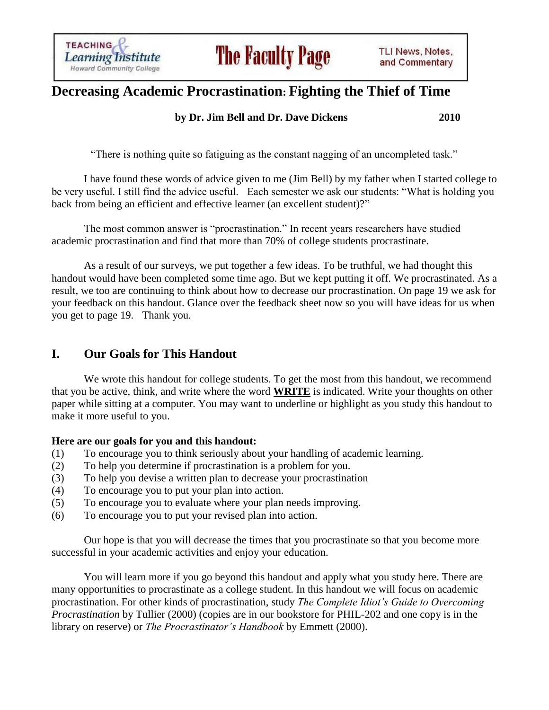**TEACHING Learning Institute Howard Community College** 

# **Decreasing Academic Procrastination: Fighting the Thief of Time**

### **by Dr. Jim Bell and Dr. Dave Dickens 2010**

"There is nothing quite so fatiguing as the constant nagging of an uncompleted task."

I have found these words of advice given to me (Jim Bell) by my father when I started college to be very useful. I still find the advice useful. Each semester we ask our students: "What is holding you back from being an efficient and effective learner (an excellent student)?"

The most common answer is "procrastination." In recent years researchers have studied academic procrastination and find that more than 70% of college students procrastinate.

As a result of our surveys, we put together a few ideas. To be truthful, we had thought this handout would have been completed some time ago. But we kept putting it off. We procrastinated. As a result, we too are continuing to think about how to decrease our procrastination. On page 19 we ask for your feedback on this handout. Glance over the feedback sheet now so you will have ideas for us when you get to page 19. Thank you.

### **I. Our Goals for This Handout**

We wrote this handout for college students. To get the most from this handout, we recommend that you be active, think, and write where the word **WRITE** is indicated. Write your thoughts on other paper while sitting at a computer. You may want to underline or highlight as you study this handout to make it more useful to you.

#### **Here are our goals for you and this handout:**

- (1) To encourage you to think seriously about your handling of academic learning.
- (2) To help you determine if procrastination is a problem for you.
- (3) To help you devise a written plan to decrease your procrastination
- (4) To encourage you to put your plan into action.
- (5) To encourage you to evaluate where your plan needs improving.
- (6) To encourage you to put your revised plan into action.

Our hope is that you will decrease the times that you procrastinate so that you become more successful in your academic activities and enjoy your education.

You will learn more if you go beyond this handout and apply what you study here. There are many opportunities to procrastinate as a college student. In this handout we will focus on academic procrastination. For other kinds of procrastination, study *The Complete Idiot's Guide to Overcoming Procrastination* by Tullier (2000) (copies are in our bookstore for PHIL-202 and one copy is in the library on reserve) or *The Procrastinator's Handbook* by Emmett (2000).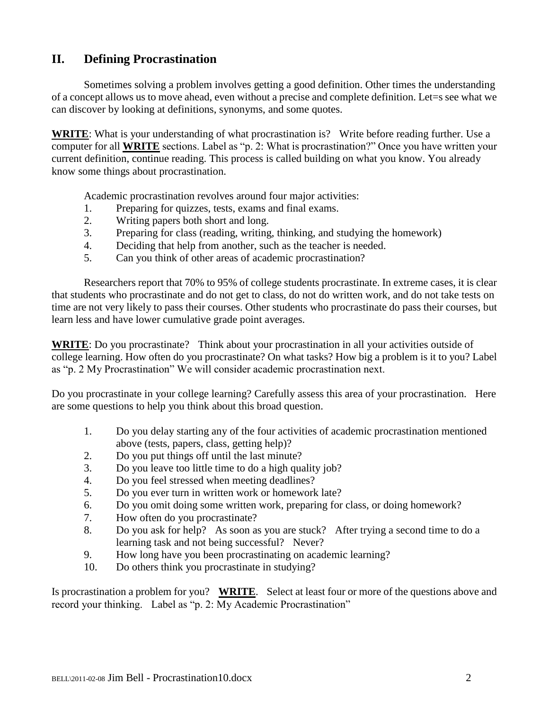### **II. Defining Procrastination**

Sometimes solving a problem involves getting a good definition. Other times the understanding of a concept allows us to move ahead, even without a precise and complete definition. Let=s see what we can discover by looking at definitions, synonyms, and some quotes.

**WRITE**: What is your understanding of what procrastination is? Write before reading further. Use a computer for all **WRITE** sections. Label as "p. 2: What is procrastination?" Once you have written your current definition, continue reading. This process is called building on what you know. You already know some things about procrastination.

Academic procrastination revolves around four major activities:

- 1. Preparing for quizzes, tests, exams and final exams.
- 2. Writing papers both short and long.
- 3. Preparing for class (reading, writing, thinking, and studying the homework)
- 4. Deciding that help from another, such as the teacher is needed.
- 5. Can you think of other areas of academic procrastination?

Researchers report that 70% to 95% of college students procrastinate. In extreme cases, it is clear that students who procrastinate and do not get to class, do not do written work, and do not take tests on time are not very likely to pass their courses. Other students who procrastinate do pass their courses, but learn less and have lower cumulative grade point averages.

**WRITE**: Do you procrastinate? Think about your procrastination in all your activities outside of college learning. How often do you procrastinate? On what tasks? How big a problem is it to you? Label as "p. 2 My Procrastination" We will consider academic procrastination next.

Do you procrastinate in your college learning? Carefully assess this area of your procrastination. Here are some questions to help you think about this broad question.

- 1. Do you delay starting any of the four activities of academic procrastination mentioned above (tests, papers, class, getting help)?
- 2. Do you put things off until the last minute?
- 3. Do you leave too little time to do a high quality job?
- 4. Do you feel stressed when meeting deadlines?
- 5. Do you ever turn in written work or homework late?
- 6. Do you omit doing some written work, preparing for class, or doing homework?
- 7. How often do you procrastinate?
- 8. Do you ask for help? As soon as you are stuck? After trying a second time to do a learning task and not being successful? Never?
- 9. How long have you been procrastinating on academic learning?
- 10. Do others think you procrastinate in studying?

Is procrastination a problem for you? **WRITE**. Select at least four or more of the questions above and record your thinking. Label as "p. 2: My Academic Procrastination"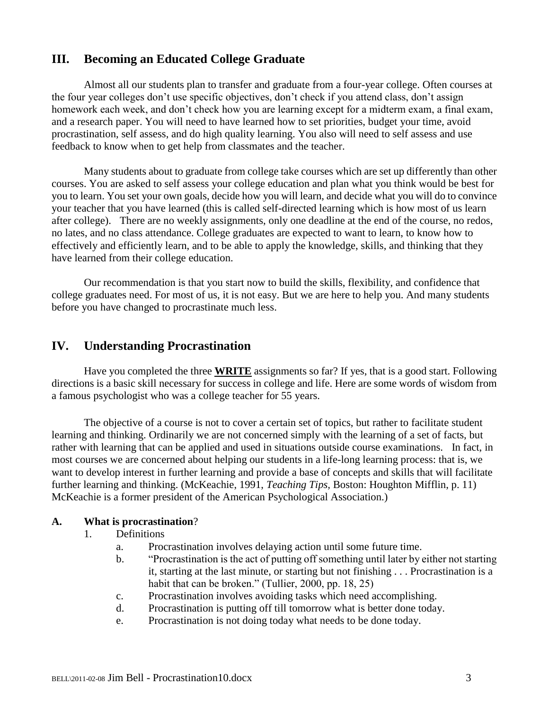### **III. Becoming an Educated College Graduate**

Almost all our students plan to transfer and graduate from a four-year college. Often courses at the four year colleges don't use specific objectives, don't check if you attend class, don't assign homework each week, and don't check how you are learning except for a midterm exam, a final exam, and a research paper. You will need to have learned how to set priorities, budget your time, avoid procrastination, self assess, and do high quality learning. You also will need to self assess and use feedback to know when to get help from classmates and the teacher.

Many students about to graduate from college take courses which are set up differently than other courses. You are asked to self assess your college education and plan what you think would be best for you to learn. You set your own goals, decide how you will learn, and decide what you will do to convince your teacher that you have learned (this is called self-directed learning which is how most of us learn after college). There are no weekly assignments, only one deadline at the end of the course, no redos, no lates, and no class attendance. College graduates are expected to want to learn, to know how to effectively and efficiently learn, and to be able to apply the knowledge, skills, and thinking that they have learned from their college education.

Our recommendation is that you start now to build the skills, flexibility, and confidence that college graduates need. For most of us, it is not easy. But we are here to help you. And many students before you have changed to procrastinate much less.

### **IV. Understanding Procrastination**

Have you completed the three **WRITE** assignments so far? If yes, that is a good start. Following directions is a basic skill necessary for success in college and life. Here are some words of wisdom from a famous psychologist who was a college teacher for 55 years.

The objective of a course is not to cover a certain set of topics, but rather to facilitate student learning and thinking. Ordinarily we are not concerned simply with the learning of a set of facts, but rather with learning that can be applied and used in situations outside course examinations. In fact, in most courses we are concerned about helping our students in a life-long learning process: that is, we want to develop interest in further learning and provide a base of concepts and skills that will facilitate further learning and thinking. (McKeachie, 1991, *Teaching Tips,* Boston: Houghton Mifflin, p. 11) McKeachie is a former president of the American Psychological Association.)

#### **A. What is procrastination**?

#### 1. Definitions

- a. Procrastination involves delaying action until some future time.
- b. "Procrastination is the act of putting off something until later by either not starting it, starting at the last minute, or starting but not finishing . . . Procrastination is a habit that can be broken." (Tullier, 2000, pp. 18, 25)
- c. Procrastination involves avoiding tasks which need accomplishing.
- d. Procrastination is putting off till tomorrow what is better done today.
- e. Procrastination is not doing today what needs to be done today.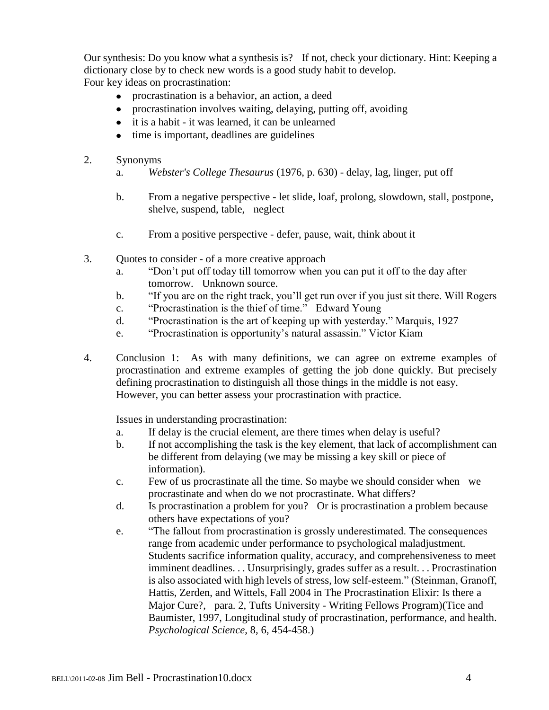Our synthesis: Do you know what a synthesis is? If not, check your dictionary. Hint: Keeping a dictionary close by to check new words is a good study habit to develop. Four key ideas on procrastination:

- procrastination is a behavior, an action, a deed
- procrastination involves waiting, delaying, putting off, avoiding  $\bullet$
- it is a habit it was learned, it can be unlearned
- time is important, deadlines are guidelines
- 2. Synonyms
	- a. *Webster's College Thesaurus* (1976, p. 630) delay, lag, linger, put off
	- b. From a negative perspective let slide, loaf, prolong, slowdown, stall, postpone, shelve, suspend, table, neglect
	- c. From a positive perspective defer, pause, wait, think about it
- 3. Quotes to consider of a more creative approach
	- a. "Don't put off today till tomorrow when you can put it off to the day after tomorrow. Unknown source.
	- b. "If you are on the right track, you'll get run over if you just sit there. Will Rogers
	- c. "Procrastination is the thief of time." Edward Young
	- d. "Procrastination is the art of keeping up with yesterday." Marquis, 1927
	- e. "Procrastination is opportunity's natural assassin." Victor Kiam
- 4. Conclusion 1: As with many definitions, we can agree on extreme examples of procrastination and extreme examples of getting the job done quickly. But precisely defining procrastination to distinguish all those things in the middle is not easy. However, you can better assess your procrastination with practice.

Issues in understanding procrastination:

- a. If delay is the crucial element, are there times when delay is useful?
- b. If not accomplishing the task is the key element, that lack of accomplishment can be different from delaying (we may be missing a key skill or piece of information).
- c. Few of us procrastinate all the time. So maybe we should consider when we procrastinate and when do we not procrastinate. What differs?
- d. Is procrastination a problem for you? Or is procrastination a problem because others have expectations of you?
- e. "The fallout from procrastination is grossly underestimated. The consequences range from academic under performance to psychological maladjustment. Students sacrifice information quality, accuracy, and comprehensiveness to meet imminent deadlines. . . Unsurprisingly, grades suffer as a result. . . Procrastination is also associated with high levels of stress, low self-esteem." (Steinman, Granoff, Hattis, Zerden, and Wittels, Fall 2004 in The Procrastination Elixir: Is there a Major Cure?, para. 2, Tufts University - Writing Fellows Program)(Tice and Baumister, 1997, Longitudinal study of procrastination, performance, and health. *Psychological Science*, 8, 6, 454-458.)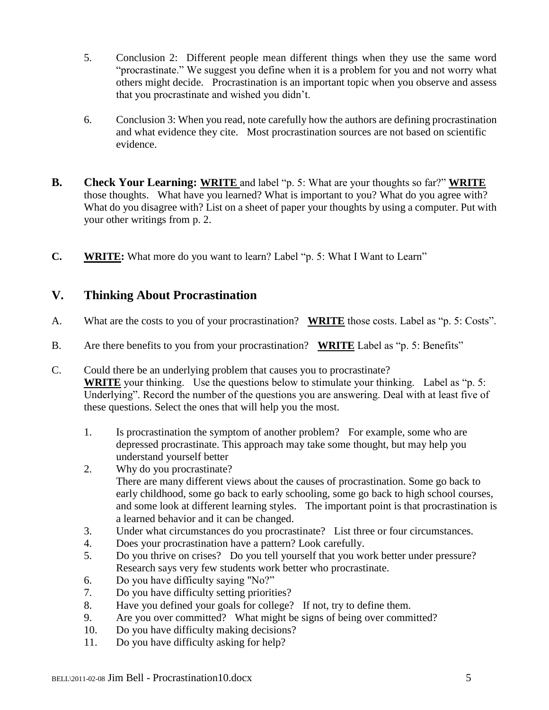- 5. Conclusion 2: Different people mean different things when they use the same word "procrastinate." We suggest you define when it is a problem for you and not worry what others might decide. Procrastination is an important topic when you observe and assess that you procrastinate and wished you didn't.
- 6. Conclusion 3: When you read, note carefully how the authors are defining procrastination and what evidence they cite. Most procrastination sources are not based on scientific evidence.
- **B. Check Your Learning: WRITE** and label "p. 5: What are your thoughts so far?" **WRITE** those thoughts. What have you learned? What is important to you? What do you agree with? What do you disagree with? List on a sheet of paper your thoughts by using a computer. Put with your other writings from p. 2.
- **C. WRITE:** What more do you want to learn? Label "p. 5: What I Want to Learn"

### **V. Thinking About Procrastination**

- A. What are the costs to you of your procrastination? **WRITE** those costs. Label as "p. 5: Costs".
- B. Are there benefits to you from your procrastination? **WRITE** Label as "p. 5: Benefits"
- C. Could there be an underlying problem that causes you to procrastinate? **WRITE** your thinking. Use the questions below to stimulate your thinking. Label as "p. 5: Underlying". Record the number of the questions you are answering. Deal with at least five of these questions. Select the ones that will help you the most.
	- 1. Is procrastination the symptom of another problem? For example, some who are depressed procrastinate. This approach may take some thought, but may help you understand yourself better
	- 2. Why do you procrastinate? There are many different views about the causes of procrastination. Some go back to early childhood, some go back to early schooling, some go back to high school courses, and some look at different learning styles. The important point is that procrastination is a learned behavior and it can be changed.
	- 3. Under what circumstances do you procrastinate? List three or four circumstances.
	- 4. Does your procrastination have a pattern? Look carefully.
	- 5. Do you thrive on crises? Do you tell yourself that you work better under pressure? Research says very few students work better who procrastinate.
	- 6. Do you have difficulty saying "No?"
	- 7. Do you have difficulty setting priorities?
	- 8. Have you defined your goals for college? If not, try to define them.
	- 9. Are you over committed? What might be signs of being over committed?
	- 10. Do you have difficulty making decisions?
	- 11. Do you have difficulty asking for help?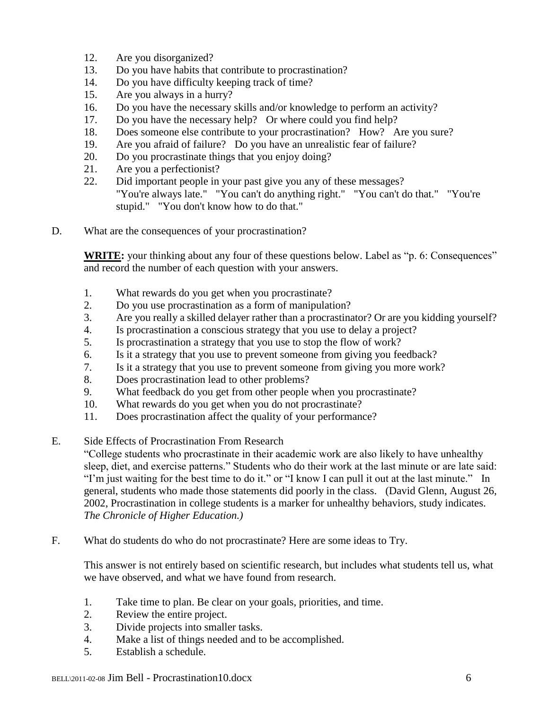- 12. Are you disorganized?
- 13. Do you have habits that contribute to procrastination?
- 14. Do you have difficulty keeping track of time?
- 15. Are you always in a hurry?
- 16. Do you have the necessary skills and/or knowledge to perform an activity?
- 17. Do you have the necessary help? Or where could you find help?
- 18. Does someone else contribute to your procrastination? How? Are you sure?
- 19. Are you afraid of failure? Do you have an unrealistic fear of failure?
- 20. Do you procrastinate things that you enjoy doing?
- 21. Are you a perfectionist?
- 22. Did important people in your past give you any of these messages? "You're always late." "You can't do anything right." "You can't do that." "You're stupid." "You don't know how to do that."
- D. What are the consequences of your procrastination?

**WRITE:** your thinking about any four of these questions below. Label as "p. 6: Consequences" and record the number of each question with your answers.

- 1. What rewards do you get when you procrastinate?
- 2. Do you use procrastination as a form of manipulation?
- 3. Are you really a skilled delayer rather than a procrastinator? Or are you kidding yourself?
- 4. Is procrastination a conscious strategy that you use to delay a project?
- 5. Is procrastination a strategy that you use to stop the flow of work?
- 6. Is it a strategy that you use to prevent someone from giving you feedback?
- 7. Is it a strategy that you use to prevent someone from giving you more work?
- 8. Does procrastination lead to other problems?
- 9. What feedback do you get from other people when you procrastinate?
- 10. What rewards do you get when you do not procrastinate?
- 11. Does procrastination affect the quality of your performance?
- E. Side Effects of Procrastination From Research

"College students who procrastinate in their academic work are also likely to have unhealthy sleep, diet, and exercise patterns." Students who do their work at the last minute or are late said: "I'm just waiting for the best time to do it." or "I know I can pull it out at the last minute." In general, students who made those statements did poorly in the class. (David Glenn, August 26, 2002, Procrastination in college students is a marker for unhealthy behaviors, study indicates. *The Chronicle of Higher Education.)*

F. What do students do who do not procrastinate? Here are some ideas to Try.

This answer is not entirely based on scientific research, but includes what students tell us, what we have observed, and what we have found from research.

- 1. Take time to plan. Be clear on your goals, priorities, and time.
- 2. Review the entire project.
- 3. Divide projects into smaller tasks.
- 4. Make a list of things needed and to be accomplished.
- 5. Establish a schedule.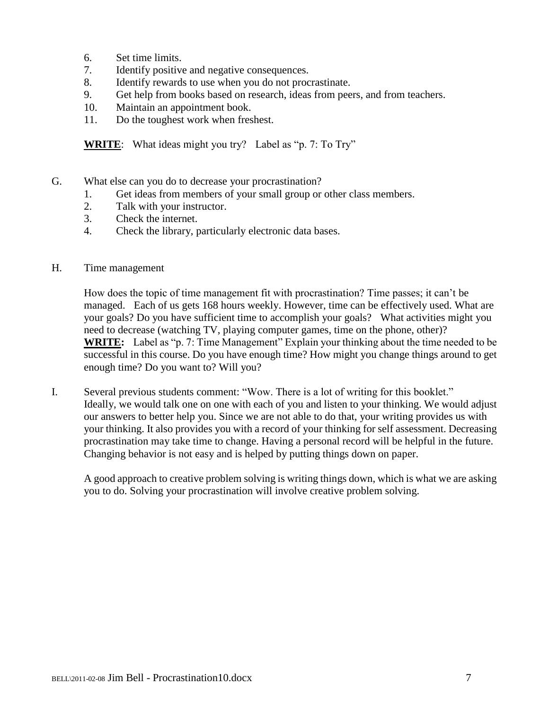- 6. Set time limits.
- 7. Identify positive and negative consequences.
- 8. Identify rewards to use when you do not procrastinate.
- 9. Get help from books based on research, ideas from peers, and from teachers.
- 10. Maintain an appointment book.
- 11. Do the toughest work when freshest.

**WRITE**: What ideas might you try? Label as "p. 7: To Try"

- G. What else can you do to decrease your procrastination?
	- 1. Get ideas from members of your small group or other class members.
	- 2. Talk with your instructor.
	- 3. Check the internet.
	- 4. Check the library, particularly electronic data bases.
- H. Time management

How does the topic of time management fit with procrastination? Time passes; it can't be managed. Each of us gets 168 hours weekly. However, time can be effectively used. What are your goals? Do you have sufficient time to accomplish your goals? What activities might you need to decrease (watching TV, playing computer games, time on the phone, other)? **WRITE:** Label as "p. 7: Time Management" Explain your thinking about the time needed to be successful in this course. Do you have enough time? How might you change things around to get enough time? Do you want to? Will you?

I. Several previous students comment: "Wow. There is a lot of writing for this booklet." Ideally, we would talk one on one with each of you and listen to your thinking. We would adjust our answers to better help you. Since we are not able to do that, your writing provides us with your thinking. It also provides you with a record of your thinking for self assessment. Decreasing procrastination may take time to change. Having a personal record will be helpful in the future. Changing behavior is not easy and is helped by putting things down on paper.

A good approach to creative problem solving is writing things down, which is what we are asking you to do. Solving your procrastination will involve creative problem solving.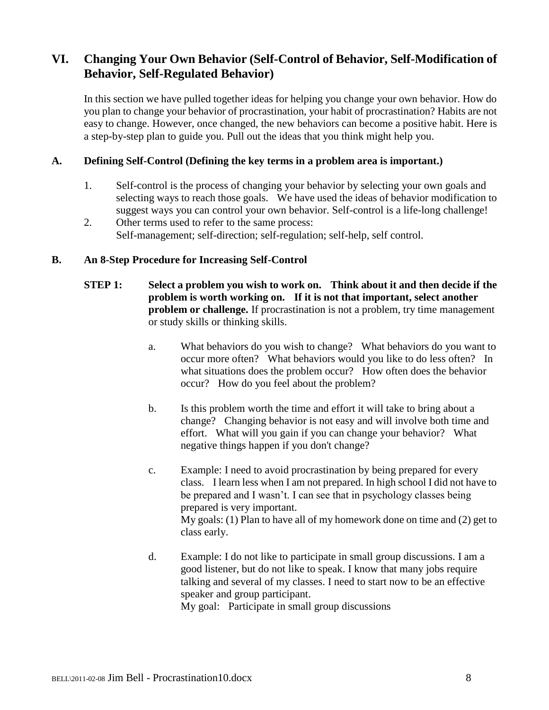## **VI. Changing Your Own Behavior (Self-Control of Behavior, Self-Modification of Behavior, Self-Regulated Behavior)**

In this section we have pulled together ideas for helping you change your own behavior. How do you plan to change your behavior of procrastination, your habit of procrastination? Habits are not easy to change. However, once changed, the new behaviors can become a positive habit. Here is a step-by-step plan to guide you. Pull out the ideas that you think might help you.

#### **A. Defining Self-Control (Defining the key terms in a problem area is important.)**

- 1. Self-control is the process of changing your behavior by selecting your own goals and selecting ways to reach those goals. We have used the ideas of behavior modification to suggest ways you can control your own behavior. Self-control is a life-long challenge!
- 2. Other terms used to refer to the same process: Self-management; self-direction; self-regulation; self-help, self control.

#### **B. An 8-Step Procedure for Increasing Self-Control**

- **STEP 1: Select a problem you wish to work on. Think about it and then decide if the problem is worth working on. If it is not that important, select another problem or challenge.** If procrastination is not a problem, try time management or study skills or thinking skills.
	- a. What behaviors do you wish to change? What behaviors do you want to occur more often? What behaviors would you like to do less often? In what situations does the problem occur? How often does the behavior occur? How do you feel about the problem?
	- b. Is this problem worth the time and effort it will take to bring about a change? Changing behavior is not easy and will involve both time and effort. What will you gain if you can change your behavior? What negative things happen if you don't change?
	- c. Example: I need to avoid procrastination by being prepared for every class. I learn less when I am not prepared. In high school I did not have to be prepared and I wasn't. I can see that in psychology classes being prepared is very important. My goals: (1) Plan to have all of my homework done on time and (2) get to class early.
	- d. Example: I do not like to participate in small group discussions. I am a good listener, but do not like to speak. I know that many jobs require talking and several of my classes. I need to start now to be an effective speaker and group participant.

My goal: Participate in small group discussions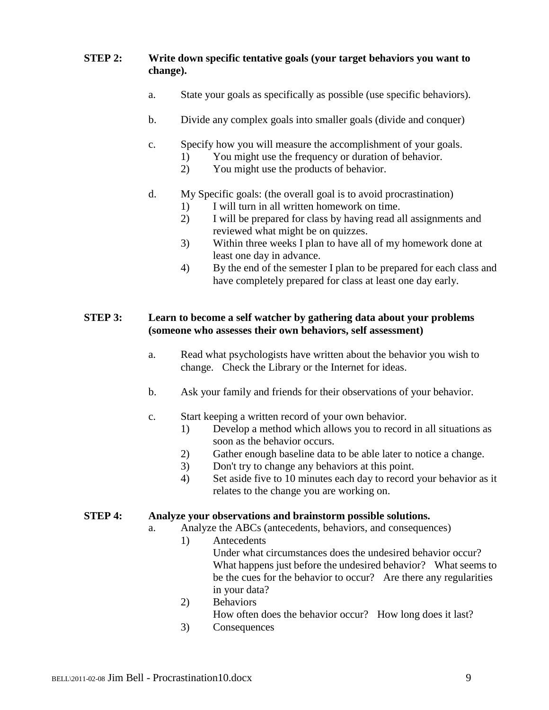#### **STEP 2: Write down specific tentative goals (your target behaviors you want to change).**

- a. State your goals as specifically as possible (use specific behaviors).
- b. Divide any complex goals into smaller goals (divide and conquer)
- c. Specify how you will measure the accomplishment of your goals.
	- 1) You might use the frequency or duration of behavior.
	- 2) You might use the products of behavior.
- d. My Specific goals: (the overall goal is to avoid procrastination)
	-
	- 1) I will turn in all written homework on time.<br>2) I will be prepared for class by having read a 2) I will be prepared for class by having read all assignments and reviewed what might be on quizzes.
	- 3) Within three weeks I plan to have all of my homework done at least one day in advance.
	- 4) By the end of the semester I plan to be prepared for each class and have completely prepared for class at least one day early.

#### **STEP 3: Learn to become a self watcher by gathering data about your problems (someone who assesses their own behaviors, self assessment)**

- a. Read what psychologists have written about the behavior you wish to change. Check the Library or the Internet for ideas.
- b. Ask your family and friends for their observations of your behavior.
- c. Start keeping a written record of your own behavior.
	- 1) Develop a method which allows you to record in all situations as soon as the behavior occurs.
	- 2) Gather enough baseline data to be able later to notice a change.
	- 3) Don't try to change any behaviors at this point.
	- 4) Set aside five to 10 minutes each day to record your behavior as it relates to the change you are working on.

#### **STEP 4: Analyze your observations and brainstorm possible solutions.**

- a. Analyze the ABCs (antecedents, behaviors, and consequences)
	- 1) Antecedents Under what circumstances does the undesired behavior occur? What happens just before the undesired behavior? What seems to be the cues for the behavior to occur? Are there any regularities in your data?
	- 2) Behaviors How often does the behavior occur? How long does it last?
	- 3) Consequences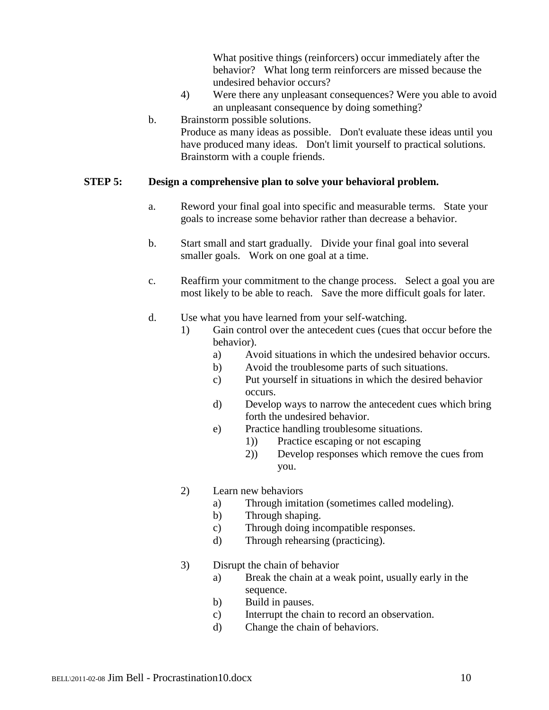What positive things (reinforcers) occur immediately after the behavior? What long term reinforcers are missed because the undesired behavior occurs?

- 4) Were there any unpleasant consequences? Were you able to avoid an unpleasant consequence by doing something?
- b. Brainstorm possible solutions. Produce as many ideas as possible. Don't evaluate these ideas until you have produced many ideas. Don't limit yourself to practical solutions. Brainstorm with a couple friends.

#### **STEP 5: Design a comprehensive plan to solve your behavioral problem.**

- a. Reword your final goal into specific and measurable terms. State your goals to increase some behavior rather than decrease a behavior.
- b. Start small and start gradually. Divide your final goal into several smaller goals. Work on one goal at a time.
- c. Reaffirm your commitment to the change process. Select a goal you are most likely to be able to reach. Save the more difficult goals for later.
- d. Use what you have learned from your self-watching.
	- 1) Gain control over the antecedent cues (cues that occur before the behavior).
		- a) Avoid situations in which the undesired behavior occurs.
		- b) Avoid the troublesome parts of such situations.
		- c) Put yourself in situations in which the desired behavior occurs.
		- d) Develop ways to narrow the antecedent cues which bring forth the undesired behavior.
		- e) Practice handling troublesome situations.
			- 1)) Practice escaping or not escaping
			- 2)) Develop responses which remove the cues from you.
	- 2) Learn new behaviors
		- a) Through imitation (sometimes called modeling).
		- b) Through shaping.
		- c) Through doing incompatible responses.
		- d) Through rehearsing (practicing).
	- 3) Disrupt the chain of behavior
		- a) Break the chain at a weak point, usually early in the sequence.
		- b) Build in pauses.
		- c) Interrupt the chain to record an observation.
		- d) Change the chain of behaviors.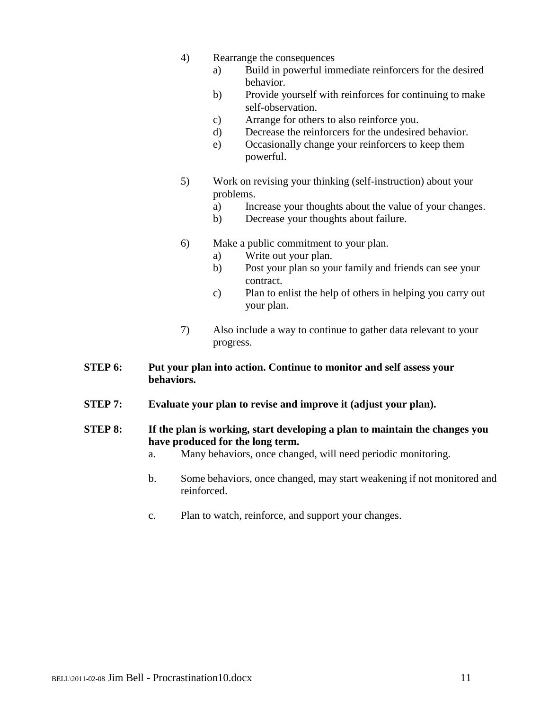- 4) Rearrange the consequences
	- a) Build in powerful immediate reinforcers for the desired behavior.
	- b) Provide yourself with reinforces for continuing to make self-observation.
	- c) Arrange for others to also reinforce you.
	- d) Decrease the reinforcers for the undesired behavior.
	- e) Occasionally change your reinforcers to keep them powerful.
- 5) Work on revising your thinking (self-instruction) about your problems.
	- a) Increase your thoughts about the value of your changes.
	- b) Decrease your thoughts about failure.
- 6) Make a public commitment to your plan.
	- a) Write out your plan.
	- b) Post your plan so your family and friends can see your contract.
	- c) Plan to enlist the help of others in helping you carry out your plan.
- 7) Also include a way to continue to gather data relevant to your progress.
- **STEP 6: Put your plan into action. Continue to monitor and self assess your behaviors.**
- **STEP 7: Evaluate your plan to revise and improve it (adjust your plan).**
- **STEP 8: If the plan is working, start developing a plan to maintain the changes you have produced for the long term.**
	- a. Many behaviors, once changed, will need periodic monitoring.
	- b. Some behaviors, once changed, may start weakening if not monitored and reinforced.
	- c. Plan to watch, reinforce, and support your changes.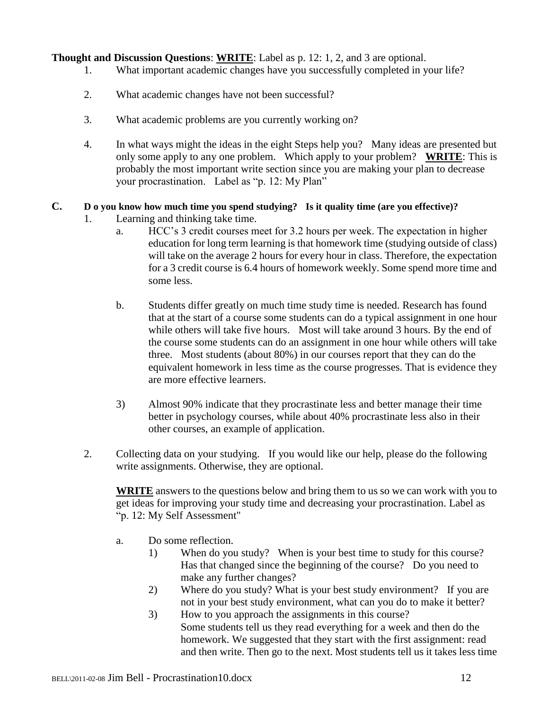**Thought and Discussion Questions**: **WRITE**: Label as p. 12: 1, 2, and 3 are optional.

- 1. What important academic changes have you successfully completed in your life?
- 2. What academic changes have not been successful?
- 3. What academic problems are you currently working on?
- 4. In what ways might the ideas in the eight Steps help you? Many ideas are presented but only some apply to any one problem. Which apply to your problem? **WRITE**: This is probably the most important write section since you are making your plan to decrease your procrastination. Label as "p. 12: My Plan"

### **C. D o you know how much time you spend studying? Is it quality time (are you effective)?**

- 1. Learning and thinking take time.
	- a. HCC's 3 credit courses meet for 3.2 hours per week. The expectation in higher education for long term learning is that homework time (studying outside of class) will take on the average 2 hours for every hour in class. Therefore, the expectation for a 3 credit course is 6.4 hours of homework weekly. Some spend more time and some less.
	- b. Students differ greatly on much time study time is needed. Research has found that at the start of a course some students can do a typical assignment in one hour while others will take five hours. Most will take around 3 hours. By the end of the course some students can do an assignment in one hour while others will take three. Most students (about 80%) in our courses report that they can do the equivalent homework in less time as the course progresses. That is evidence they are more effective learners.
	- 3) Almost 90% indicate that they procrastinate less and better manage their time better in psychology courses, while about 40% procrastinate less also in their other courses, an example of application.
- 2. Collecting data on your studying. If you would like our help, please do the following write assignments. Otherwise, they are optional.

**WRITE** answers to the questions below and bring them to us so we can work with you to get ideas for improving your study time and decreasing your procrastination. Label as "p. 12: My Self Assessment"

- a. Do some reflection.
	- 1) When do you study? When is your best time to study for this course? Has that changed since the beginning of the course? Do you need to make any further changes?
	- 2) Where do you study? What is your best study environment? If you are not in your best study environment, what can you do to make it better?
	- 3) How to you approach the assignments in this course? Some students tell us they read everything for a week and then do the homework. We suggested that they start with the first assignment: read and then write. Then go to the next. Most students tell us it takes less time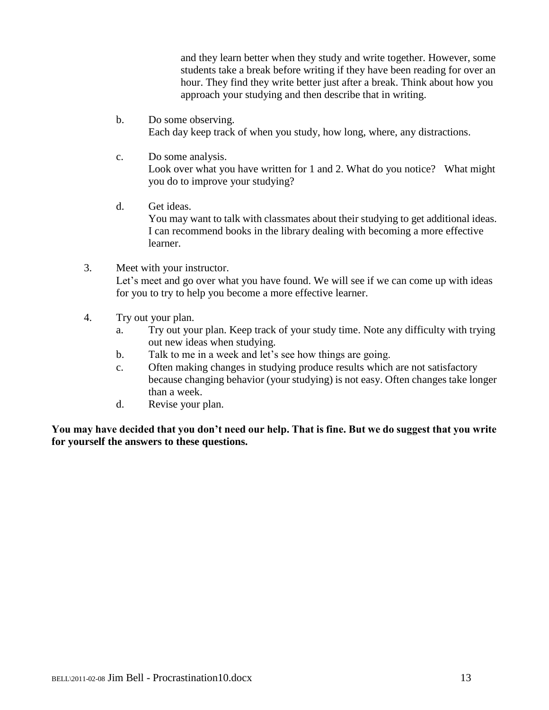and they learn better when they study and write together. However, some students take a break before writing if they have been reading for over an hour. They find they write better just after a break. Think about how you approach your studying and then describe that in writing.

- b. Do some observing. Each day keep track of when you study, how long, where, any distractions.
- c. Do some analysis. Look over what you have written for 1 and 2. What do you notice? What might you do to improve your studying?
- d. Get ideas. You may want to talk with classmates about their studying to get additional ideas. I can recommend books in the library dealing with becoming a more effective learner.
- 3. Meet with your instructor. Let's meet and go over what you have found. We will see if we can come up with ideas for you to try to help you become a more effective learner.
- 4. Try out your plan.
	- a. Try out your plan. Keep track of your study time. Note any difficulty with trying out new ideas when studying.
	- b. Talk to me in a week and let's see how things are going.
	- c. Often making changes in studying produce results which are not satisfactory because changing behavior (your studying) is not easy. Often changes take longer than a week.
	- d. Revise your plan.

**You may have decided that you don't need our help. That is fine. But we do suggest that you write for yourself the answers to these questions.**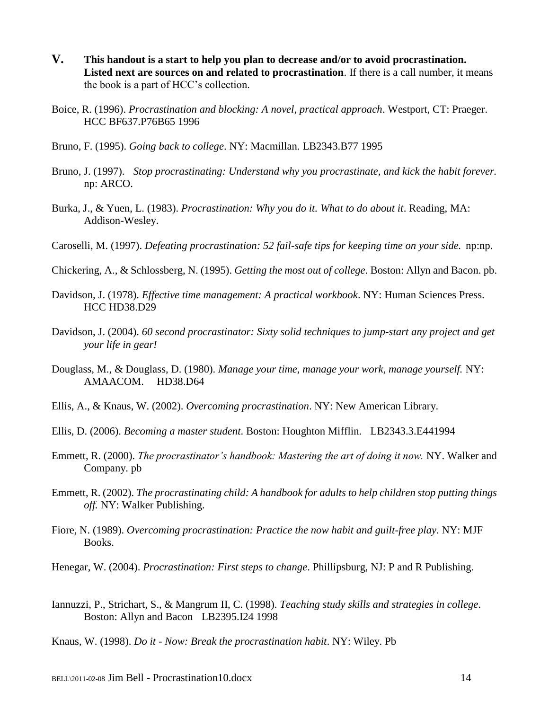- **V. This handout is a start to help you plan to decrease and/or to avoid procrastination. Listed next are sources on and related to procrastination**. If there is a call number, it means the book is a part of HCC's collection.
- Boice, R. (1996). *Procrastination and blocking: A novel, practical approach*. Westport, CT: Praeger. HCC BF637.P76B65 1996
- Bruno, F. (1995). *Going back to college*. NY: Macmillan. LB2343.B77 1995
- Bruno, J. (1997). *Stop procrastinating: Understand why you procrastinate, and kick the habit forever.* np: ARCO.
- Burka, J., & Yuen, L. (1983). *Procrastination: Why you do it. What to do about it*. Reading, MA: Addison-Wesley.
- Caroselli, M. (1997). *Defeating procrastination: 52 fail-safe tips for keeping time on your side.* np:np.
- Chickering, A., & Schlossberg, N. (1995). *Getting the most out of college*. Boston: Allyn and Bacon. pb.
- Davidson, J. (1978). *Effective time management: A practical workbook*. NY: Human Sciences Press. HCC HD38.D29
- Davidson, J. (2004). *60 second procrastinator: Sixty solid techniques to jump-start any project and get your life in gear!*
- Douglass, M., & Douglass, D. (1980). *Manage your time, manage your work, manage yourself.* NY: AMAACOM. HD38.D64
- Ellis, A., & Knaus, W. (2002). *Overcoming procrastination*. NY: New American Library.
- Ellis, D. (2006). *Becoming a master student*. Boston: Houghton Mifflin. LB2343.3.E441994
- Emmett, R. (2000). *The procrastinator's handbook: Mastering the art of doing it now.* NY. Walker and Company. pb
- Emmett, R. (2002). *The procrastinating child: A handbook for adults to help children stop putting things off.* NY: Walker Publishing.
- Fiore, N. (1989). *Overcoming procrastination: Practice the now habit and guilt-free play*. NY: MJF Books.
- Henegar, W. (2004). *Procrastination: First steps to change*. Phillipsburg, NJ: P and R Publishing.
- Iannuzzi, P., Strichart, S., & Mangrum II, C. (1998). *Teaching study skills and strategies in college*. Boston: Allyn and Bacon LB2395.I24 1998
- Knaus, W. (1998). *Do it - Now: Break the procrastination habit*. NY: Wiley. Pb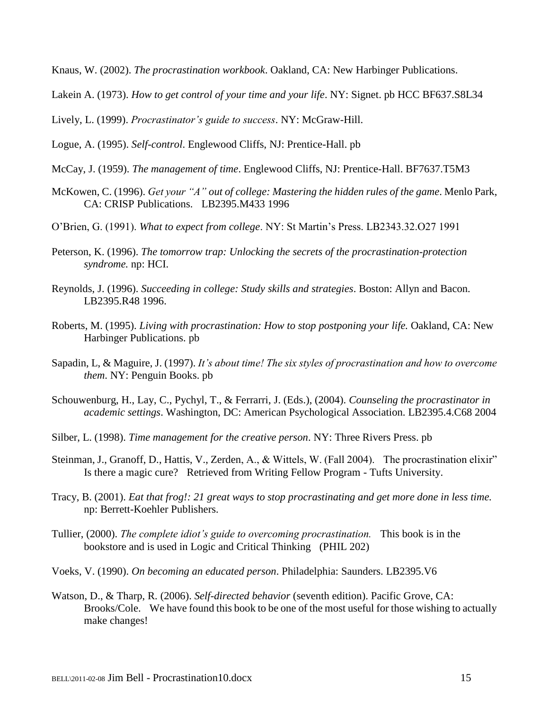Knaus, W. (2002). *The procrastination workbook*. Oakland, CA: New Harbinger Publications.

Lakein A. (1973). *How to get control of your time and your life*. NY: Signet. pb HCC BF637.S8L34

Lively, L. (1999). *Procrastinator's guide to success*. NY: McGraw-Hill.

Logue, A. (1995). *Self-control*. Englewood Cliffs, NJ: Prentice-Hall. pb

- McCay, J. (1959). *The management of time*. Englewood Cliffs, NJ: Prentice-Hall. BF7637.T5M3
- McKowen, C. (1996). *Get your "A" out of college: Mastering the hidden rules of the game*. Menlo Park, CA: CRISP Publications. LB2395.M433 1996

O'Brien, G. (1991). *What to expect from college*. NY: St Martin's Press. LB2343.32.O27 1991

- Peterson, K. (1996). *The tomorrow trap: Unlocking the secrets of the procrastination-protection syndrome.* np: HCI.
- Reynolds, J. (1996). *Succeeding in college: Study skills and strategies*. Boston: Allyn and Bacon. LB2395.R48 1996.
- Roberts, M. (1995). *Living with procrastination: How to stop postponing your life.* Oakland, CA: New Harbinger Publications. pb
- Sapadin, L, & Maguire, J. (1997). *It's about time! The six styles of procrastination and how to overcome them*. NY: Penguin Books. pb
- Schouwenburg, H., Lay, C., Pychyl, T., & Ferrarri, J. (Eds.), (2004). *Counseling the procrastinator in academic settings*. Washington, DC: American Psychological Association. LB2395.4.C68 2004
- Silber, L. (1998). *Time management for the creative person*. NY: Three Rivers Press. pb
- Steinman, J., Granoff, D., Hattis, V., Zerden, A., & Wittels, W. (Fall 2004). The procrastination elixir" Is there a magic cure? Retrieved from Writing Fellow Program - Tufts University.
- Tracy, B. (2001). *Eat that frog!: 21 great ways to stop procrastinating and get more done in less time.*  np: Berrett-Koehler Publishers.
- Tullier, (2000). *The complete idiot's guide to overcoming procrastination.* This book is in the bookstore and is used in Logic and Critical Thinking (PHIL 202)
- Voeks, V. (1990). *On becoming an educated person*. Philadelphia: Saunders. LB2395.V6
- Watson, D., & Tharp, R. (2006). *Self-directed behavior* (seventh edition). Pacific Grove, CA: Brooks/Cole. We have found this book to be one of the most useful for those wishing to actually make changes!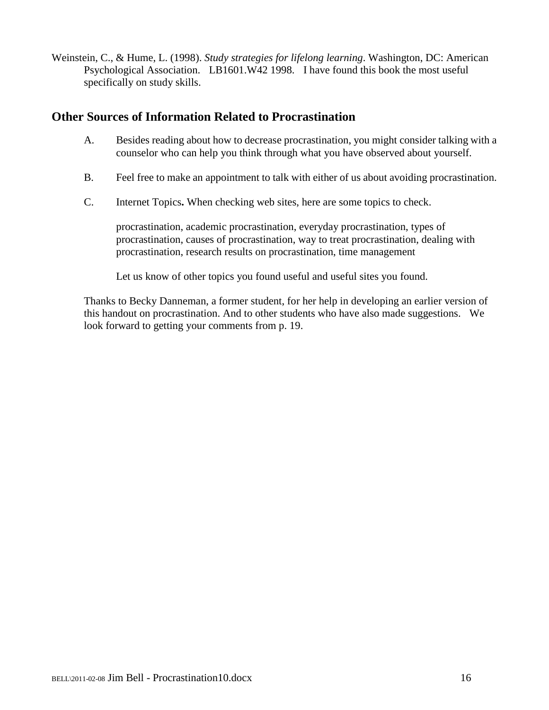Weinstein, C., & Hume, L. (1998). *Study strategies for lifelong learning*. Washington, DC: American Psychological Association. LB1601.W42 1998. I have found this book the most useful specifically on study skills.

### **Other Sources of Information Related to Procrastination**

- A. Besides reading about how to decrease procrastination, you might consider talking with a counselor who can help you think through what you have observed about yourself.
- B. Feel free to make an appointment to talk with either of us about avoiding procrastination.
- C. Internet Topics**.** When checking web sites, here are some topics to check.

procrastination, academic procrastination, everyday procrastination, types of procrastination, causes of procrastination, way to treat procrastination, dealing with procrastination, research results on procrastination, time management

Let us know of other topics you found useful and useful sites you found.

Thanks to Becky Danneman, a former student, for her help in developing an earlier version of this handout on procrastination. And to other students who have also made suggestions. We look forward to getting your comments from p. 19.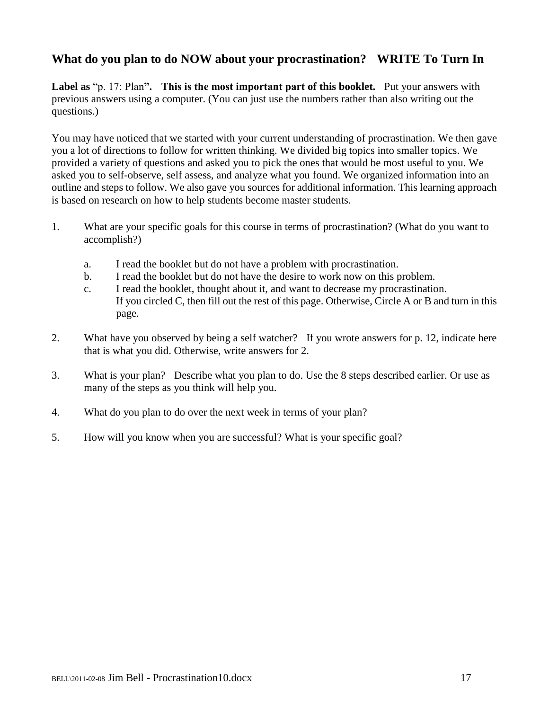## **What do you plan to do NOW about your procrastination? WRITE To Turn In**

**Label as** "p. 17: Plan**". This is the most important part of this booklet.** Put your answers with previous answers using a computer. (You can just use the numbers rather than also writing out the questions.)

You may have noticed that we started with your current understanding of procrastination. We then gave you a lot of directions to follow for written thinking. We divided big topics into smaller topics. We provided a variety of questions and asked you to pick the ones that would be most useful to you. We asked you to self-observe, self assess, and analyze what you found. We organized information into an outline and steps to follow. We also gave you sources for additional information. This learning approach is based on research on how to help students become master students.

- 1. What are your specific goals for this course in terms of procrastination? (What do you want to accomplish?)
	- a. I read the booklet but do not have a problem with procrastination.
	- b. I read the booklet but do not have the desire to work now on this problem.
	- c. I read the booklet, thought about it, and want to decrease my procrastination. If you circled C, then fill out the rest of this page. Otherwise, Circle A or B and turn in this page.
- 2. What have you observed by being a self watcher? If you wrote answers for p. 12, indicate here that is what you did. Otherwise, write answers for 2.
- 3. What is your plan? Describe what you plan to do. Use the 8 steps described earlier. Or use as many of the steps as you think will help you.
- 4. What do you plan to do over the next week in terms of your plan?
- 5. How will you know when you are successful? What is your specific goal?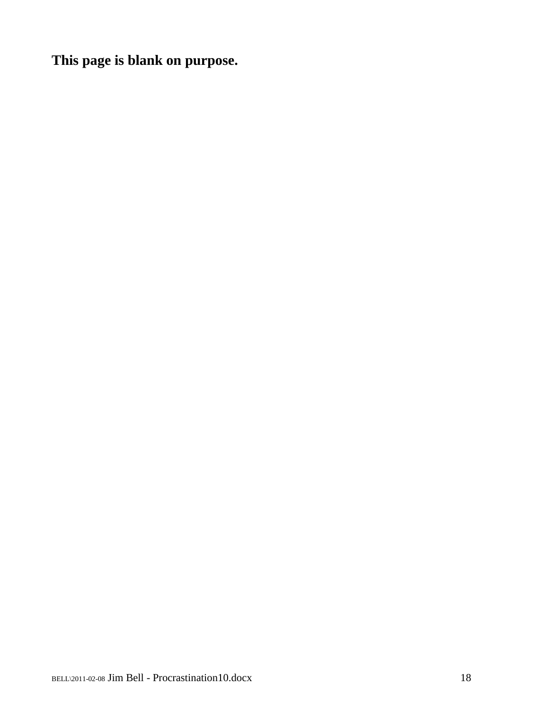**This page is blank on purpose.**